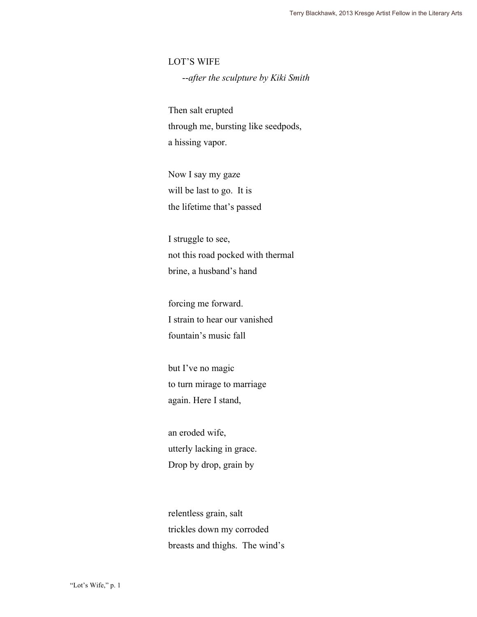LOT'S WIFE

--*after the sculpture by Kiki Smith*

Then salt erupted through me, bursting like seedpods, a hissing vapor.

Now I say my gaze will be last to go. It is the lifetime that's passed

I struggle to see, not this road pocked with thermal brine, a husband's hand

forcing me forward. I strain to hear our vanished fountain's music fall

but I've no magic to turn mirage to marriage again. Here I stand,

an eroded wife, utterly lacking in grace. Drop by drop, grain by

relentless grain, salt trickles down my corroded breasts and thighs. The wind's